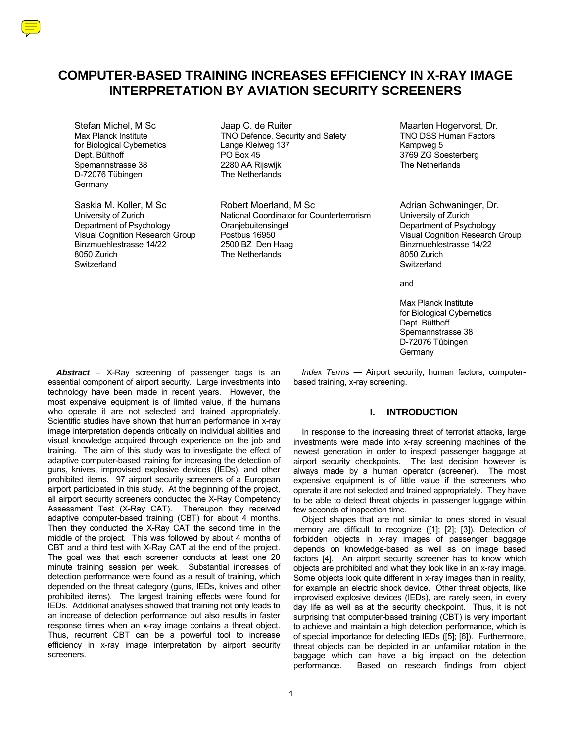# **COMPUTER-BASED TRAINING INCREASES EFFICIENCY IN X-RAY IMAGE INTERPRETATION BY AVIATION SECURITY SCREENERS**

Spemannstrasse 38 2280 AA Rijswijk<br>D-72076 Tübingen 1988 1989 The Netherlands D-72076 Tübingen **Germany** 

Switzerland **Switzerland** Switzerland **Switzerland** Switzerland **Switzerland** Switzerland Switzerland Switzerland Switzerland Switzerland Switzerland Switzerland Switzerland Switzerland Switzerland Switzerland Switzerland

Stefan Michel, M Sc **Gott Gott Baap C. de Ruiter Constanting Constanting Maarten Hogervorst**, Dr.<br>Max Planck Institute **Mate Constant Constant Constant Constant** Max Planck Institute Mate TNO DSS Human Factors Max Planck Institute TNO Defence, Security and Safety for Biological Cybernetics Lange Kleiweg 137 Control of Biological Cybernetics Control Change Kleiweg 137 Kampweg 5<br>
Dept. Bülthoff Control Control of Control Change Kleiweg 137 Control Change South Change South Change Sou Dept. Bülthoff PO Box 45 3769 ZG Soesterberg

Saskia M. Koller, M Sc **Robert Moerland, M Sc Countert Adrian Schwaninger**, Dr.<br>
University of Zurich **Conness Additional Coordinator for Counterterrorism** University of Zurich University of Zurich National Coordinator for Counterterrorism<br>
Department of Psychology Cranjebuitensingel Department of Psychology Oranjebuitensingel Department of Psychology Visual Cognition Research Group Postbus 16950 Visual Cognition Research Group Binzmuehlestrasse 14/22 2500 BZ Den Haag Binzmuehlestrasse 14/22 8050 Zurich The Netherlands 8050 Zurich

and the control of the control of the control of the control of the control of the control of the control of the control of the control of the control of the control of the control of the control of the control of the cont

 Max Planck Institute for Biological Cybernetics Dept. Bülthoff Spemannstrasse 38 D-72076 Tübingen Germany Communication of the Communication of the Communication of the Communication of the Communication of the Communication of the Communication of the Communication of the Communication of the Communication of the Comm

> *Index Terms* — Airport security, human factors, computerbased training, x-ray screening.

# **I. INTRODUCTION**

In response to the increasing threat of terrorist attacks, large investments were made into x-ray screening machines of the newest generation in order to inspect passenger baggage at airport security checkpoints. The last decision however is always made by a human operator (screener). The most expensive equipment is of little value if the screeners who operate it are not selected and trained appropriately. They have to be able to detect threat objects in passenger luggage within few seconds of inspection time.

Object shapes that are not similar to ones stored in visual memory are difficult to recognize ([1]; [2]; [3]). Detection of forbidden objects in x-ray images of passenger baggage depends on knowledge-based as well as on image based factors [4]. An airport security screener has to know which objects are prohibited and what they look like in an x-ray image. Some objects look quite different in x-ray images than in reality, for example an electric shock device. Other threat objects, like improvised explosive devices (IEDs), are rarely seen, in every day life as well as at the security checkpoint. Thus, it is not surprising that computer-based training (CBT) is very important to achieve and maintain a high detection performance, which is of special importance for detecting IEDs ([5]; [6]). Furthermore, threat objects can be depicted in an unfamiliar rotation in the baggage which can have a big impact on the detection performance. Based on research findings from object

*Abstract* – X-Ray screening of passenger bags is an essential component of airport security. Large investments into technology have been made in recent years. However, the most expensive equipment is of limited value, if the humans who operate it are not selected and trained appropriately. Scientific studies have shown that human performance in x-ray image interpretation depends critically on individual abilities and visual knowledge acquired through experience on the job and training. The aim of this study was to investigate the effect of adaptive computer-based training for increasing the detection of guns, knives, improvised explosive devices (IEDs), and other prohibited items. 97 airport security screeners of a European airport participated in this study. At the beginning of the project, all airport security screeners conducted the X-Ray Competency Assessment Test (X-Ray CAT). Thereupon they received adaptive computer-based training (CBT) for about 4 months. Then they conducted the X-Ray CAT the second time in the middle of the project. This was followed by about 4 months of CBT and a third test with X-Ray CAT at the end of the project. The goal was that each screener conducts at least one 20 minute training session per week. Substantial increases of detection performance were found as a result of training, which depended on the threat category (guns, IEDs, knives and other prohibited items). The largest training effects were found for IEDs. Additional analyses showed that training not only leads to an increase of detection performance but also results in faster response times when an x-ray image contains a threat object. Thus, recurrent CBT can be a powerful tool to increase efficiency in x-ray image interpretation by airport security screeners.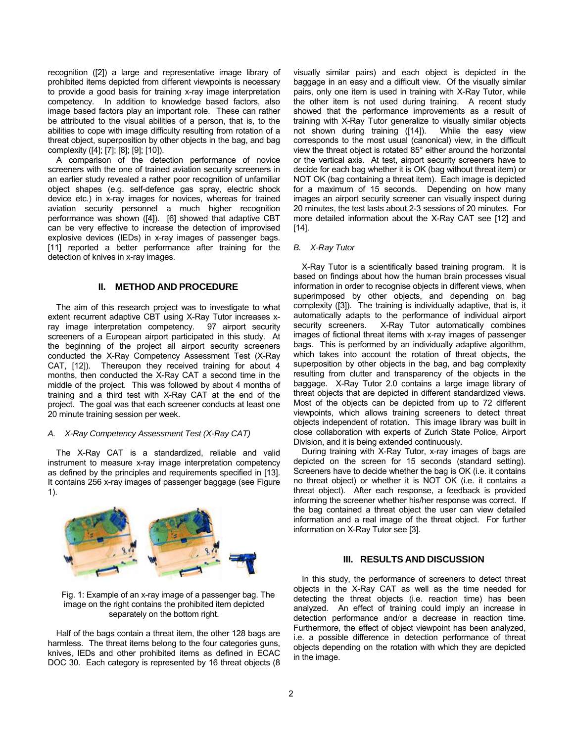recognition ([2]) a large and representative image library of prohibited items depicted from different viewpoints is necessary to provide a good basis for training x-ray image interpretation competency. In addition to knowledge based factors, also image based factors play an important role. These can rather be attributed to the visual abilities of a person, that is, to the abilities to cope with image difficulty resulting from rotation of a threat object, superposition by other objects in the bag, and bag complexity ([4]; [7]; [8]; [9]; [10]).

A comparison of the detection performance of novice screeners with the one of trained aviation security screeners in an earlier study revealed a rather poor recognition of unfamiliar object shapes (e.g. self-defence gas spray, electric shock device etc.) in x-ray images for novices, whereas for trained aviation security personnel a much higher recognition performance was shown ([4]). [6] showed that adaptive CBT can be very effective to increase the detection of improvised explosive devices (IEDs) in x-ray images of passenger bags. [11] reported a better performance after training for the detection of knives in x-ray images.

#### **II. METHOD AND PROCEDURE**

The aim of this research project was to investigate to what extent recurrent adaptive CBT using X-Ray Tutor increases xray image interpretation competency. 97 airport security screeners of a European airport participated in this study. At the beginning of the project all airport security screeners conducted the X-Ray Competency Assessment Test (X-Ray CAT, [12]). Thereupon they received training for about 4 months, then conducted the X-Ray CAT a second time in the middle of the project. This was followed by about 4 months of training and a third test with X-Ray CAT at the end of the project. The goal was that each screener conducts at least one 20 minute training session per week.

#### *A. X-Ray Competency Assessment Test (X-Ray CAT)*

The X-Ray CAT is a standardized, reliable and valid instrument to measure x-ray image interpretation competency as defined by the principles and requirements specified in [13]. It contains 256 x-ray images of passenger baggage (see Figure 1).



Fig. 1: Example of an x-ray image of a passenger bag. The image on the right contains the prohibited item depicted separately on the bottom right.

Half of the bags contain a threat item, the other 128 bags are harmless. The threat items belong to the four categories guns, knives, IEDs and other prohibited items as defined in ECAC DOC 30. Each category is represented by 16 threat objects (8 visually similar pairs) and each object is depicted in the baggage in an easy and a difficult view. Of the visually similar pairs, only one item is used in training with X-Ray Tutor, while the other item is not used during training. A recent study showed that the performance improvements as a result of training with X-Ray Tutor generalize to visually similar objects not shown during training ([14]). While the easy view corresponds to the most usual (canonical) view, in the difficult view the threat object is rotated 85° either around the horizontal or the vertical axis. At test, airport security screeners have to decide for each bag whether it is OK (bag without threat item) or NOT OK (bag containing a threat item). Each image is depicted for a maximum of 15 seconds. Depending on how many images an airport security screener can visually inspect during 20 minutes, the test lasts about 2-3 sessions of 20 minutes. For more detailed information about the X-Ray CAT see [12] and [14].

#### *B. X-Ray Tutor*

X-Ray Tutor is a scientifically based training program. It is based on findings about how the human brain processes visual information in order to recognise objects in different views, when superimposed by other objects, and depending on bag complexity ([3]). The training is individually adaptive, that is, it automatically adapts to the performance of individual airport security screeners. X-Ray Tutor automatically combines images of fictional threat items with x-ray images of passenger bags. This is performed by an individually adaptive algorithm, which takes into account the rotation of threat objects, the superposition by other objects in the bag, and bag complexity resulting from clutter and transparency of the objects in the baggage. X-Ray Tutor 2.0 contains a large image library of threat objects that are depicted in different standardized views. Most of the objects can be depicted from up to 72 different viewpoints, which allows training screeners to detect threat objects independent of rotation. This image library was built in close collaboration with experts of Zurich State Police, Airport Division, and it is being extended continuously.

During training with X-Ray Tutor, x-ray images of bags are depicted on the screen for 15 seconds (standard setting). Screeners have to decide whether the bag is OK (i.e. it contains no threat object) or whether it is NOT OK (i.e. it contains a threat object). After each response, a feedback is provided informing the screener whether his/her response was correct. If the bag contained a threat object the user can view detailed information and a real image of the threat object. For further information on X-Ray Tutor see [3].

## **III. RESULTS AND DISCUSSION**

In this study, the performance of screeners to detect threat objects in the X-Ray CAT as well as the time needed for detecting the threat objects (i.e. reaction time) has been analyzed. An effect of training could imply an increase in detection performance and/or a decrease in reaction time. Furthermore, the effect of object viewpoint has been analyzed, i.e. a possible difference in detection performance of threat objects depending on the rotation with which they are depicted in the image.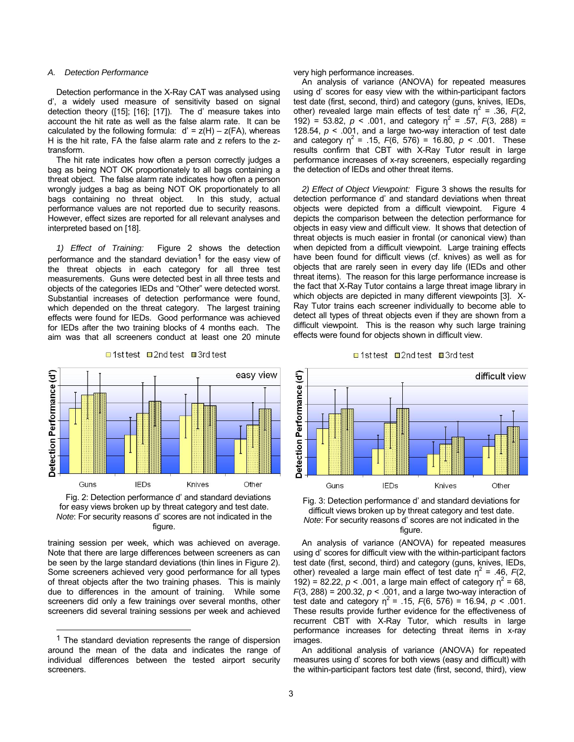#### *A. Detection Performance*

Detection performance in the X-Ray CAT was analysed using d', a widely used measure of sensitivity based on signal detection theory ([15]; [16]; [17]). The d' measure takes into account the hit rate as well as the false alarm rate. It can be calculated by the following formula:  $d' = z(H) - z(FA)$ , whereas H is the hit rate, FA the false alarm rate and z refers to the ztransform.

The hit rate indicates how often a person correctly judges a bag as being NOT OK proportionately to all bags containing a threat object. The false alarm rate indicates how often a person wrongly judges a bag as being NOT OK proportionately to all bags containing no threat object. In this study, actual performance values are not reported due to security reasons. However, effect sizes are reported for all relevant analyses and interpreted based on [18].

*1) Effect of Training:* Figure 2 shows the detection performance and the standard deviation<sup>1</sup> for the easy view of the threat objects in each category for all three test measurements. Guns were detected best in all three tests and objects of the categories IEDs and "Other" were detected worst. Substantial increases of detection performance were found, which depended on the threat category. The largest training effects were found for IEDs. Good performance was achieved for IEDs after the two training blocks of 4 months each. The aim was that all screeners conduct at least one 20 minute



□ 1st test ■ 2nd test ■ 3rd test

Fig. 2: Detection performance d' and standard deviations for easy views broken up by threat category and test date. *Note*: For security reasons d' scores are not indicated in the figure.

training session per week, which was achieved on average. Note that there are large differences between screeners as can be seen by the large standard deviations (thin lines in Figure 2). Some screeners achieved very good performance for all types of threat objects after the two training phases. This is mainly due to differences in the amount of training. While some screeners did only a few trainings over several months, other screeners did several training sessions per week and achieved

 $\overline{a}$ 

very high performance increases.

An analysis of variance (ANOVA) for repeated measures using d' scores for easy view with the within-participant factors test date (first, second, third) and category (guns, knives, IEDs, other) revealed large main effects of test date  $\eta^2$  = .36,  $F(2)$ , 192) = 53.82,  $p < .001$ , and category  $\eta^2 = .57$ ,  $F(3, 288) =$ 128.54, *p* < .001, and a large two-way interaction of test date and category  $\eta^2$  = .15,  $F(6, 576)$  = 16.80,  $p < .001$ . These results confirm that CBT with X-Ray Tutor result in large performance increases of x-ray screeners, especially regarding the detection of IEDs and other threat items.

*2) Effect of Object Viewpoint:* Figure 3 shows the results for detection performance d' and standard deviations when threat objects were depicted from a difficult viewpoint. Figure 4 depicts the comparison between the detection performance for objects in easy view and difficult view. It shows that detection of threat objects is much easier in frontal (or canonical view) than when depicted from a difficult viewpoint. Large training effects have been found for difficult views (cf. knives) as well as for objects that are rarely seen in every day life (IEDs and other threat items). The reason for this large performance increase is the fact that X-Ray Tutor contains a large threat image library in which objects are depicted in many different viewpoints [3]. X-Ray Tutor trains each screener individually to become able to detect all types of threat objects even if they are shown from a difficult viewpoint. This is the reason why such large training effects were found for objects shown in difficult view.





Fig. 3: Detection performance d' and standard deviations for difficult views broken up by threat category and test date. *Note*: For security reasons d' scores are not indicated in the figure.

An analysis of variance (ANOVA) for repeated measures using d' scores for difficult view with the within-participant factors test date (first, second, third) and category (guns, knives, IEDs, other) revealed a large main effect of test date  $\eta^2$  = .46,  $F(2)$ , 192) = 82.22,  $p < .001$ , a large main effect of category  $\eta^2 = 68$ , *F*(3, 288) = 200.32, *p* < .001, and a large two-way interaction of test date and category  $\eta^2$  = .15,  $F(6, 576)$  = 16.94,  $p < .001$ . These results provide further evidence for the effectiveness of recurrent CBT with X-Ray Tutor, which results in large performance increases for detecting threat items in x-ray images.

An additional analysis of variance (ANOVA) for repeated measures using d' scores for both views (easy and difficult) with the within-participant factors test date (first, second, third), view

 $1$  The standard deviation represents the range of dispersion around the mean of the data and indicates the range of individual differences between the tested airport security screeners.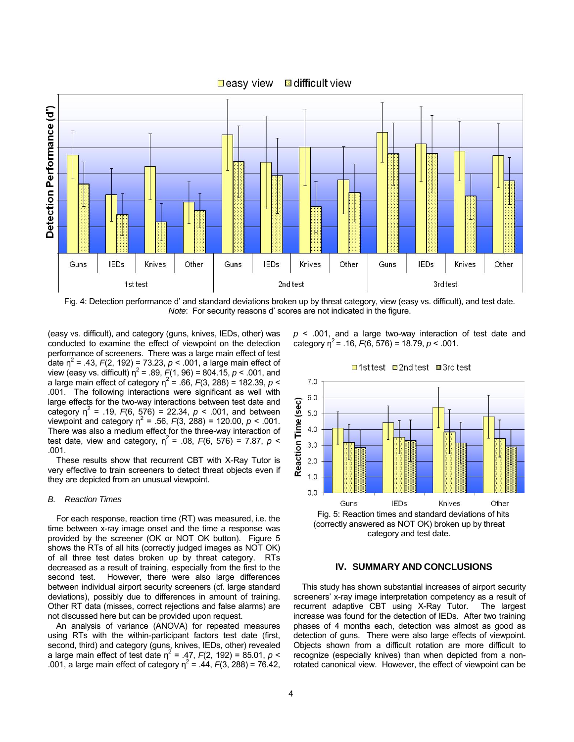

Fig. 4: Detection performance d' and standard deviations broken up by threat category, view (easy vs. difficult), and test date. *Note*: For security reasons d' scores are not indicated in the figure.

(easy vs. difficult), and category (guns, knives, IEDs, other) was conducted to examine the effect of viewpoint on the detection performance of screeners. There was a large main effect of test date  $\eta^2$  = .43,  $F(2, 192)$  = 73.23,  $p < .001$ , a large main effect of view (easy vs. difficult)  $\eta^2$  = .89,  $F(1, 96)$  = 804.15,  $p < .001$ , and a large main effect of category  $\eta^2$  = .66,  $F(3, 288)$  = 182.39,  $p$  < .001. The following interactions were significant as well with large effects for the two-way interactions between test date and category  $\eta^2$  = .19,  $F(6, 576)$  = 22.34,  $p < .001$ , and between viewpoint and category  $\eta^2 = .56, F(3, 288) = 120.00, p < .001$ . There was also a medium effect for the three-way interaction of test date, view and category,  $\eta^2$  = .08,  $F(6, 576)$  = 7.87,  $p$  < .001.

These results show that recurrent CBT with X-Ray Tutor is very effective to train screeners to detect threat objects even if they are depicted from an unusual viewpoint.

#### *B. Reaction Times*

For each response, reaction time (RT) was measured, i.e. the time between x-ray image onset and the time a response was provided by the screener (OK or NOT OK button). Figure 5 shows the RTs of all hits (correctly judged images as NOT OK) of all three test dates broken up by threat category. RTs decreased as a result of training, especially from the first to the second test. However, there were also large differences between individual airport security screeners (cf. large standard deviations), possibly due to differences in amount of training. Other RT data (misses, correct rejections and false alarms) are not discussed here but can be provided upon request.

An analysis of variance (ANOVA) for repeated measures using RTs with the within-participant factors test date (first, second, third) and category (guns, knives, IEDs, other) revealed a large main effect of test date  $\eta^2$  = .47,  $F(2, 192)$  = 85.01,  $p <$ .001, a large main effect of category  $\eta^2 = .44, F(3, 288) = 76.42$ , *p* < .001, and a large two-way interaction of test date and category  $\eta^2$  = .16,  $F(6, 576)$  = 18.79,  $p < .001$ .

□1st test □2nd test ■3rd test



category and test date.

## **IV. SUMMARY AND CONCLUSIONS**

This study has shown substantial increases of airport security screeners' x-ray image interpretation competency as a result of recurrent adaptive CBT using X-Ray Tutor. The largest increase was found for the detection of IEDs. After two training phases of 4 months each, detection was almost as good as detection of guns. There were also large effects of viewpoint. Objects shown from a difficult rotation are more difficult to recognize (especially knives) than when depicted from a nonrotated canonical view. However, the effect of viewpoint can be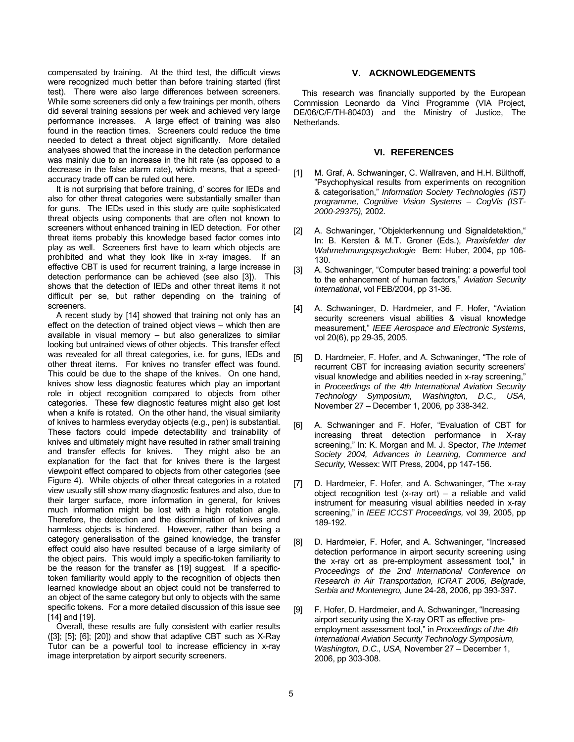compensated by training. At the third test, the difficult views were recognized much better than before training started (first test). There were also large differences between screeners. While some screeners did only a few trainings per month, others did several training sessions per week and achieved very large performance increases. A large effect of training was also found in the reaction times. Screeners could reduce the time needed to detect a threat object significantly. More detailed analyses showed that the increase in the detection performance was mainly due to an increase in the hit rate (as opposed to a decrease in the false alarm rate), which means, that a speedaccuracy trade off can be ruled out here.

It is not surprising that before training, d' scores for IEDs and also for other threat categories were substantially smaller than for guns. The IEDs used in this study are quite sophisticated threat objects using components that are often not known to screeners without enhanced training in IED detection. For other threat items probably this knowledge based factor comes into play as well. Screeners first have to learn which objects are prohibited and what they look like in x-ray images. If an effective CBT is used for recurrent training, a large increase in detection performance can be achieved (see also [3]). This shows that the detection of IEDs and other threat items it not difficult per se, but rather depending on the training of screeners.

A recent study by [14] showed that training not only has an effect on the detection of trained object views – which then are available in visual memory – but also generalizes to similar looking but untrained views of other objects. This transfer effect was revealed for all threat categories, i.e. for guns, IEDs and other threat items. For knives no transfer effect was found. This could be due to the shape of the knives. On one hand, knives show less diagnostic features which play an important role in object recognition compared to objects from other categories. These few diagnostic features might also get lost when a knife is rotated. On the other hand, the visual similarity of knives to harmless everyday objects (e.g., pen) is substantial. These factors could impede detectability and trainability of knives and ultimately might have resulted in rather small training and transfer effects for knives. They might also be an explanation for the fact that for knives there is the largest viewpoint effect compared to objects from other categories (see Figure 4). While objects of other threat categories in a rotated view usually still show many diagnostic features and also, due to their larger surface, more information in general, for knives much information might be lost with a high rotation angle. Therefore, the detection and the discrimination of knives and harmless objects is hindered. However, rather than being a category generalisation of the gained knowledge, the transfer effect could also have resulted because of a large similarity of the object pairs. This would imply a specific-token familiarity to be the reason for the transfer as [19] suggest. If a specifictoken familiarity would apply to the recognition of objects then learned knowledge about an object could not be transferred to an object of the same category but only to objects with the same specific tokens. For a more detailed discussion of this issue see [14] and [19].

Overall, these results are fully consistent with earlier results ([3]; [5]; [6]; [20]) and show that adaptive CBT such as X-Ray Tutor can be a powerful tool to increase efficiency in x-ray image interpretation by airport security screeners.

# **V. ACKNOWLEDGEMENTS**

This research was financially supported by the European Commission Leonardo da Vinci Programme (VIA Project, DE/06/C/F/TH-80403) and the Ministry of Justice, The Netherlands.

## **VI. REFERENCES**

- [1] M. Graf, A. Schwaninger, C. Wallraven, and H.H. Bülthoff, "Psychophysical results from experiments on recognition & categorisation," *Information Society Technologies (IST) programme, Cognitive Vision Systems – CogVis (IST-2000-29375),* 2002*.*
- [2] A. Schwaninger, "Objekterkennung und Signaldetektion," In: B. Kersten & M.T. Groner (Eds.), *Praxisfelder der Wahrnehmungspsychologie* Bern: Huber, 2004, pp 106- 130.
- [3] A. Schwaninger, "Computer based training: a powerful tool to the enhancement of human factors," *Aviation Security International*, vol FEB/2004, pp 31-36.
- [4] A. Schwaninger, D. Hardmeier, and F. Hofer, "Aviation security screeners visual abilities & visual knowledge measurement," *IEEE Aerospace and Electronic Systems*, vol 20(6), pp 29-35, 2005.
- [5] D. Hardmeier, F. Hofer, and A. Schwaninger, "The role of recurrent CBT for increasing aviation security screeners' visual knowledge and abilities needed in x-ray screening," in *Proceedings of the 4th International Aviation Security Technology Symposium, Washington, D.C., USA,*  November 27 – December 1, 2006*,* pp 338-342.
- [6] A. Schwaninger and F. Hofer, "Evaluation of CBT for increasing threat detection performance in X-ray screening," In: K. Morgan and M. J. Spector, *The Internet Society 2004, Advances in Learning, Commerce and Security,* Wessex: WIT Press, 2004, pp 147-156.
- [7] D. Hardmeier, F. Hofer, and A. Schwaninger, "The x-ray object recognition test (x-ray ort) – a reliable and valid instrument for measuring visual abilities needed in x-ray screening," in *IEEE ICCST Proceedings,* vol 39*,* 2005, pp 189-192*.*
- [8] D. Hardmeier, F. Hofer, and A. Schwaninger, "Increased detection performance in airport security screening using the x-ray ort as pre-employment assessment tool," in *Proceedings of the 2nd International Conference on Research in Air Transportation, ICRAT 2006, Belgrade, Serbia and Montenegro,* June 24-28, 2006, pp 393-397.
- [9] F. Hofer, D. Hardmeier, and A. Schwaninger, "Increasing airport security using the X-ray ORT as effective preemployment assessment tool," in *Proceedings of the 4th International Aviation Security Technology Symposium, Washington, D.C., USA,* November 27 – December 1, 2006, pp 303-308.